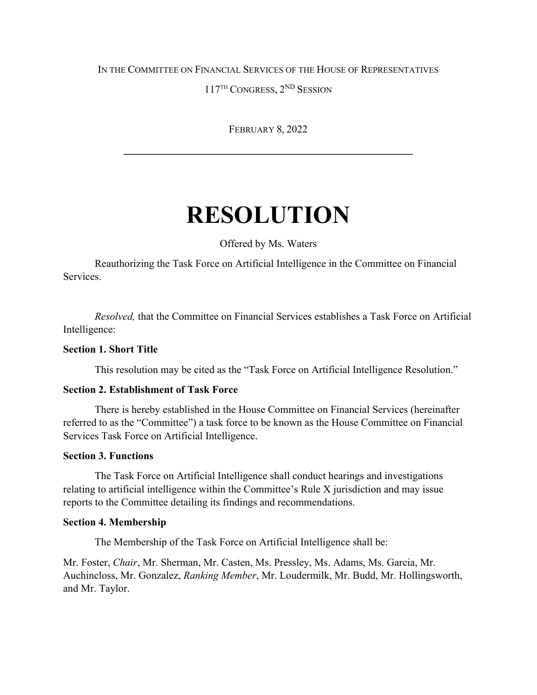## IN THE COMMITTEE ON FINANCIAL SERVICES OF THE HOUSE OF REPRESENTATIVES

117TH CONGRESS, 2ND SESSION

FEBRUARY 8, 2022

**\_\_\_\_\_\_\_\_\_\_\_\_\_\_\_\_\_\_\_\_\_\_\_\_\_\_\_\_\_\_\_\_\_\_\_\_\_\_\_\_\_\_\_\_\_\_\_\_\_\_\_\_\_\_\_**

# **RESOLUTION**

Offered by Ms. Waters

Reauthorizing the Task Force on Artificial Intelligence in the Committee on Financial Services.

*Resolved,* that the Committee on Financial Services establishes a Task Force on Artificial Intelligence:

## **Section 1. Short Title**

This resolution may be cited as the "Task Force on Artificial Intelligence Resolution."

## **Section 2. Establishment of Task Force**

There is hereby established in the House Committee on Financial Services (hereinafter referred to as the "Committee") a task force to be known as the House Committee on Financial Services Task Force on Artificial Intelligence.

#### **Section 3. Functions**

The Task Force on Artificial Intelligence shall conduct hearings and investigations relating to artificial intelligence within the Committee's Rule X jurisdiction and may issue reports to the Committee detailing its findings and recommendations.

#### **Section 4. Membership**

The Membership of the Task Force on Artificial Intelligence shall be:

Mr. Foster, *Chair*, Mr. Sherman, Mr. Casten, Ms. Pressley, Ms. Adams, Ms. Garcia, Mr. Auchincloss, Mr. Gonzalez, *Ranking Member*, Mr. Loudermilk, Mr. Budd, Mr. Hollingsworth, and Mr. Taylor.